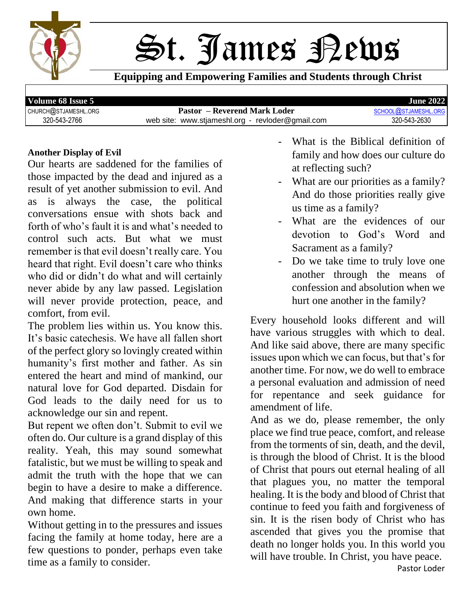

St. James Rews

**Equipping and Empowering Families and Students through Christ**

**Volume 68 Issue 5 June 2022** CHURCH@[STJAMESHL](mailto:school@stjameshl.org).ORG **Pastor – Reverend Mark Loder** SCHOOL@STJAMESHL<br>320-543-2630 web site: www.stiameshl.org - revloder@gmail.com 320-543-2630 320-543-2766 web site: www.stjameshl.org - revloder@gmail.com 320-543-2630

#### **Another Display of Evil**

Our hearts are saddened for the families of those impacted by the dead and injured as a result of yet another submission to evil. And as is always the case, the political conversations ensue with shots back and forth of who's fault it is and what's needed to control such acts. But what we must remember is that evil doesn't really care. You heard that right. Evil doesn't care who thinks who did or didn't do what and will certainly never abide by any law passed. Legislation will never provide protection, peace, and comfort, from evil.

The problem lies within us. You know this. It's basic catechesis. We have all fallen short of the perfect glory so lovingly created within humanity's first mother and father. As sin entered the heart and mind of mankind, our natural love for God departed. Disdain for God leads to the daily need for us to acknowledge our sin and repent.

But repent we often don't. Submit to evil we often do. Our culture is a grand display of this reality. Yeah, this may sound somewhat fatalistic, but we must be willing to speak and admit the truth with the hope that we can begin to have a desire to make a difference. And making that difference starts in your own home.

Without getting in to the pressures and issues facing the family at home today, here are a few questions to ponder, perhaps even take time as a family to consider.

- What is the Biblical definition of family and how does our culture do at reflecting such?
- What are our priorities as a family? And do those priorities really give us time as a family?
- What are the evidences of our devotion to God's Word and Sacrament as a family?
- Do we take time to truly love one another through the means of confession and absolution when we hurt one another in the family?

Every household looks different and will have various struggles with which to deal. And like said above, there are many specific issues upon which we can focus, but that's for another time. For now, we do well to embrace a personal evaluation and admission of need for repentance and seek guidance for amendment of life.

And as we do, please remember, the only place we find true peace, comfort, and release from the torments of sin, death, and the devil, is through the blood of Christ. It is the blood of Christ that pours out eternal healing of all that plagues you, no matter the temporal healing. It is the body and blood of Christ that continue to feed you faith and forgiveness of sin. It is the risen body of Christ who has ascended that gives you the promise that death no longer holds you. In this world you will have trouble. In Christ, you have peace.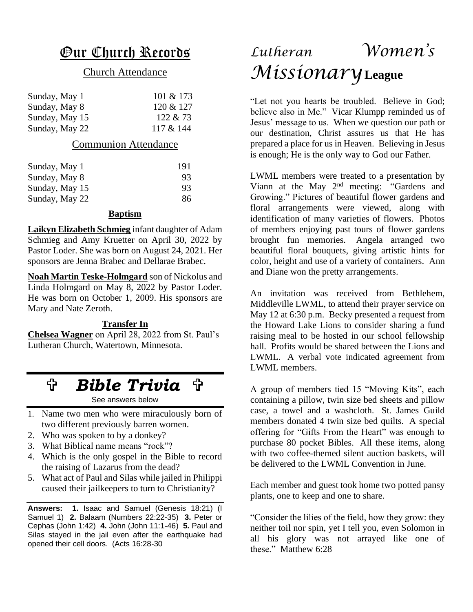### Our Church Records

#### Church Attendance

| Sunday, May 1  | 101 & 173 |
|----------------|-----------|
| Sunday, May 8  | 120 & 127 |
| Sunday, May 15 | 122 & 273 |
| Sunday, May 22 | 117 & 144 |

#### Communion Attendance

| Sunday, May 1  | 191 |
|----------------|-----|
| Sunday, May 8  | 93  |
| Sunday, May 15 | 93  |
| Sunday, May 22 | 86  |

#### **Baptism**

**Laikyn Elizabeth Schmieg** infant daughter of Adam Schmieg and Amy Kruetter on April 30, 2022 by Pastor Loder. She was born on August 24, 2021. Her sponsors are Jenna Brabec and Dellarae Brabec.

**Noah Martin Teske-Holmgard** son of Nickolus and Linda Holmgard on May 8, 2022 by Pastor Loder. He was born on October 1, 2009. His sponsors are Mary and Nate Zeroth.

#### **Transfer In**

**Chelsea Wagner** on April 28, 2022 from St. Paul's Lutheran Church, Watertown, Minnesota.

# *Bible Trivia*

See answers below

- 1. Name two men who were miraculously born of two different previously barren women.
- 2. Who was spoken to by a donkey?
- 3. What Biblical name means "rock"?
- 4. Which is the only gospel in the Bible to record the raising of Lazarus from the dead?
- 5. What act of Paul and Silas while jailed in Philippi caused their jailkeepers to turn to Christianity?

**Answers: 1.** Isaac and Samuel (Genesis 18:21) (I Samuel 1) **2.** Balaam (Numbers 22:22-35) **3.** Peter or Cephas (John 1:42) **4.** John (John 11:1-46) **5.** Paul and Silas stayed in the jail even after the earthquake had opened their cell doors. (Acts 16:28-30

# *Lutheran Women's Missionary***League**

"Let not you hearts be troubled. Believe in God; believe also in Me." Vicar Klumpp reminded us of Jesus' message to us. When we question our path or our destination, Christ assures us that He has prepared a place for us in Heaven. Believing in Jesus is enough; He is the only way to God our Father.

LWML members were treated to a presentation by Viann at the May 2nd meeting: "Gardens and Growing." Pictures of beautiful flower gardens and floral arrangements were viewed, along with identification of many varieties of flowers. Photos of members enjoying past tours of flower gardens brought fun memories. Angela arranged two beautiful floral bouquets, giving artistic hints for color, height and use of a variety of containers. Ann and Diane won the pretty arrangements.

An invitation was received from Bethlehem, Middleville LWML, to attend their prayer service on May 12 at 6:30 p.m. Becky presented a request from the Howard Lake Lions to consider sharing a fund raising meal to be hosted in our school fellowship hall. Profits would be shared between the Lions and LWML. A verbal vote indicated agreement from LWML members.

A group of members tied 15 "Moving Kits", each containing a pillow, twin size bed sheets and pillow case, a towel and a washcloth. St. James Guild members donated 4 twin size bed quilts. A special offering for "Gifts From the Heart" was enough to purchase 80 pocket Bibles. All these items, along with two coffee-themed silent auction baskets, will be delivered to the LWML Convention in June.

Each member and guest took home two potted pansy plants, one to keep and one to share.

"Consider the lilies of the field, how they grow: they neither toil nor spin, yet I tell you, even Solomon in all his glory was not arrayed like one of these." Matthew 6:28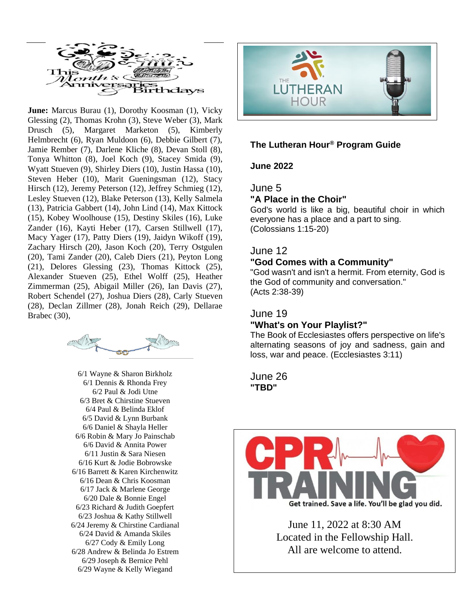

June: Marcus Burau (1), Dorothy Koosman (1), Vicky Glessing (2), Thomas Krohn (3), Steve Weber (3), Mark Drusch (5), Margaret Marketon (5), Kimberly Helmbrecht (6), Ryan Muldoon (6), Debbie Gilbert (7), Jamie Rember (7), Darlene Kliche (8), Devan Stoll (8), Tonya Whitton (8), Joel Koch (9), Stacey Smida (9), Wyatt Stueven (9), Shirley Diers (10), Justin Hassa (10), Steven Heber (10), Marit Gueningsman (12), Stacy Hirsch (12), Jeremy Peterson (12), Jeffrey Schmieg (12), Lesley Stueven (12), Blake Peterson (13), Kelly Salmela (13), Patricia Gabbert (14), John Lind (14), Max Kittock (15), Kobey Woolhouse (15), Destiny Skiles (16), Luke Zander (16), Kayti Heber (17), Carsen Stillwell (17), Macy Yager (17), Patty Diers (19), Jaidyn Wikoff (19), Zachary Hirsch (20), Jason Koch (20), Terry Ostgulen (20), Tami Zander (20), Caleb Diers (21), Peyton Long (21), Delores Glessing (23), Thomas Kittock (25), Alexander Stueven (25), Ethel Wolff (25), Heather Zimmerman (25), Abigail Miller (26), Ian Davis (27), Robert Schendel (27), Joshua Diers (28), Carly Stueven (28), Declan Zillmer (28), Jonah Reich (29), Dellarae Brabec (30),



6/1 Wayne & Sharon Birkholz 6/1 Dennis & Rhonda Frey 6/2 Paul & Jodi Utne 6/3 Bret & Chirstine Stueven 6/4 Paul & Belinda Eklof 6/5 David & Lynn Burbank 6/6 Daniel & Shayla Heller 6/6 Robin & Mary Jo Painschab 6/6 David & Annita Power 6/11 Justin & Sara Niesen 6/16 Kurt & Jodie Bobrowske 6/16 Barrett & Karen Kirchenwitz 6/16 Dean & Chris Koosman 6/17 Jack & Marlene George 6/20 Dale & Bonnie Engel 6/23 Richard & Judith Goepfert 6/23 Joshua & Kathy Stillwell 6/24 Jeremy & Chirstine Cardianal 6/24 David & Amanda Skiles 6/27 Cody & Emily Long 6/28 Andrew & Belinda Jo Estrem 6/29 Joseph & Bernice Pehl 6/29 Wayne & Kelly Wiegand



#### **The Lutheran Hour® Program Guide**

#### **June 2022**

June 5

#### **"A Place in the Choir"**

God's world is like a big, beautiful choir in which everyone has a place and a part to sing. (Colossians 1:15-20)

#### June 12

#### **"God Comes with a Community"**

"God wasn't and isn't a hermit. From eternity, God is the God of community and conversation." (Acts 2:38-39)

#### June 19

#### **"What's on Your Playlist?"**

The Book of Ecclesiastes offers perspective on life's alternating seasons of joy and sadness, gain and loss, war and peace. (Ecclesiastes 3:11)

June 26 **"TBD"**



All are welcome to attend. June 11, 2022 at 8:30 AM Located in the Fellowship Hall.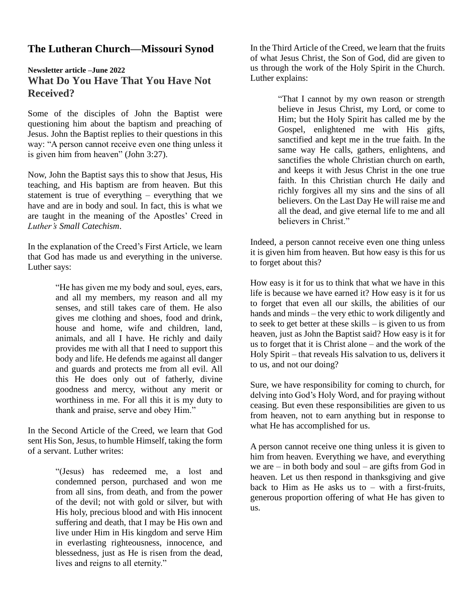#### **The Lutheran Church—Missouri Synod**

#### **Newsletter article –June 2022 What Do You Have That You Have Not Received?**

Some of the disciples of John the Baptist were questioning him about the baptism and preaching of Jesus. John the Baptist replies to their questions in this way: "A person cannot receive even one thing unless it is given him from heaven" (John 3:27).

Now, John the Baptist says this to show that Jesus, His teaching, and His baptism are from heaven. But this statement is true of everything – everything that we have and are in body and soul. In fact, this is what we are taught in the meaning of the Apostles' Creed in *Luther's Small Catechism*.

In the explanation of the Creed's First Article, we learn that God has made us and everything in the universe. Luther says:

> "He has given me my body and soul, eyes, ears, and all my members, my reason and all my senses, and still takes care of them. He also gives me clothing and shoes, food and drink, house and home, wife and children, land, animals, and all I have. He richly and daily provides me with all that I need to support this body and life. He defends me against all danger and guards and protects me from all evil. All this He does only out of fatherly, divine goodness and mercy, without any merit or worthiness in me. For all this it is my duty to thank and praise, serve and obey Him."

In the Second Article of the Creed, we learn that God sent His Son, Jesus, to humble Himself, taking the form of a servant. Luther writes:

> "(Jesus) has redeemed me, a lost and condemned person, purchased and won me from all sins, from death, and from the power of the devil; not with gold or silver, but with His holy, precious blood and with His innocent suffering and death, that I may be His own and live under Him in His kingdom and serve Him in everlasting righteousness, innocence, and blessedness, just as He is risen from the dead, lives and reigns to all eternity."

In the Third Article of the Creed, we learn that the fruits of what Jesus Christ, the Son of God, did are given to us through the work of the Holy Spirit in the Church. Luther explains:

> "That I cannot by my own reason or strength believe in Jesus Christ, my Lord, or come to Him; but the Holy Spirit has called me by the Gospel, enlightened me with His gifts, sanctified and kept me in the true faith. In the same way He calls, gathers, enlightens, and sanctifies the whole Christian church on earth, and keeps it with Jesus Christ in the one true faith. In this Christian church He daily and richly forgives all my sins and the sins of all believers. On the Last Day He will raise me and all the dead, and give eternal life to me and all believers in Christ."

Indeed, a person cannot receive even one thing unless it is given him from heaven. But how easy is this for us to forget about this?

How easy is it for us to think that what we have in this life is because we have earned it? How easy is it for us to forget that even all our skills, the abilities of our hands and minds – the very ethic to work diligently and to seek to get better at these skills – is given to us from heaven, just as John the Baptist said? How easy is it for us to forget that it is Christ alone – and the work of the Holy Spirit – that reveals His salvation to us, delivers it to us, and not our doing?

Sure, we have responsibility for coming to church, for delving into God's Holy Word, and for praying without ceasing. But even these responsibilities are given to us from heaven, not to earn anything but in response to what He has accomplished for us.

A person cannot receive one thing unless it is given to him from heaven. Everything we have, and everything we are  $-$  in both body and soul  $-$  are gifts from God in heaven. Let us then respond in thanksgiving and give back to Him as He asks us to  $-$  with a first-fruits, generous proportion offering of what He has given to us.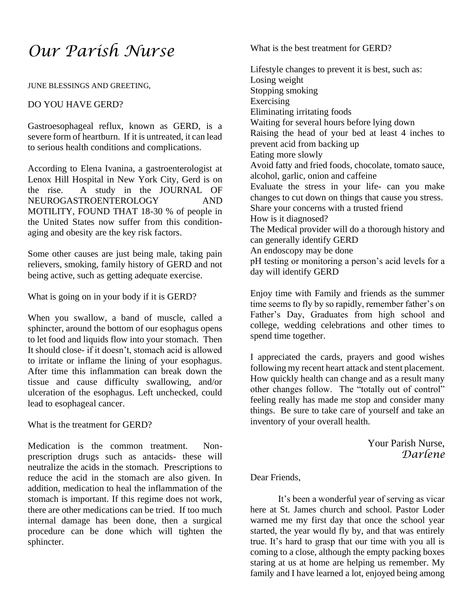## *Our Parish Nurse*

JUNE BLESSINGS AND GREETING,

#### DO YOU HAVE GERD?

Gastroesophageal reflux, known as GERD, is a severe form of heartburn. If it is untreated, it can lead to serious health conditions and complications.

According to Elena Ivanina, a gastroenterologist at Lenox Hill Hospital in New York City, Gerd is on the rise. A study in the JOURNAL OF NEUROGASTROENTEROLOGY AND MOTILITY, FOUND THAT 18-30 % of people in the United States now suffer from this conditionaging and obesity are the key risk factors.

Some other causes are just being male, taking pain relievers, smoking, family history of GERD and not being active, such as getting adequate exercise.

What is going on in your body if it is GERD?

When you swallow, a band of muscle, called a sphincter, around the bottom of our esophagus opens to let food and liquids flow into your stomach. Then It should close- if it doesn't, stomach acid is allowed to irritate or inflame the lining of your esophagus. After time this inflammation can break down the tissue and cause difficulty swallowing, and/or ulceration of the esophagus. Left unchecked, could lead to esophageal cancer.

What is the treatment for GERD?

Medication is the common treatment. Nonprescription drugs such as antacids- these will neutralize the acids in the stomach. Prescriptions to reduce the acid in the stomach are also given. In addition, medication to heal the inflammation of the stomach is important. If this regime does not work, there are other medications can be tried. If too much internal damage has been done, then a surgical procedure can be done which will tighten the sphincter.

What is the best treatment for GERD?

Lifestyle changes to prevent it is best, such as: Losing weight Stopping smoking Exercising Eliminating irritating foods Waiting for several hours before lying down Raising the head of your bed at least 4 inches to prevent acid from backing up Eating more slowly Avoid fatty and fried foods, chocolate, tomato sauce, alcohol, garlic, onion and caffeine Evaluate the stress in your life- can you make changes to cut down on things that cause you stress. Share your concerns with a trusted friend How is it diagnosed? The Medical provider will do a thorough history and can generally identify GERD An endoscopy may be done pH testing or monitoring a person's acid levels for a day will identify GERD

Enjoy time with Family and friends as the summer time seems to fly by so rapidly, remember father's on Father's Day, Graduates from high school and college, wedding celebrations and other times to spend time together.

I appreciated the cards, prayers and good wishes following my recent heart attack and stent placement. How quickly health can change and as a result many other changes follow. The "totally out of control" feeling really has made me stop and consider many things. Be sure to take care of yourself and take an inventory of your overall health.

> Your Parish Nurse, *Darlene*

Dear Friends,

It's been a wonderful year of serving as vicar here at St. James church and school. Pastor Loder warned me my first day that once the school year started, the year would fly by, and that was entirely true. It's hard to grasp that our time with you all is coming to a close, although the empty packing boxes staring at us at home are helping us remember. My family and I have learned a lot, enjoyed being among